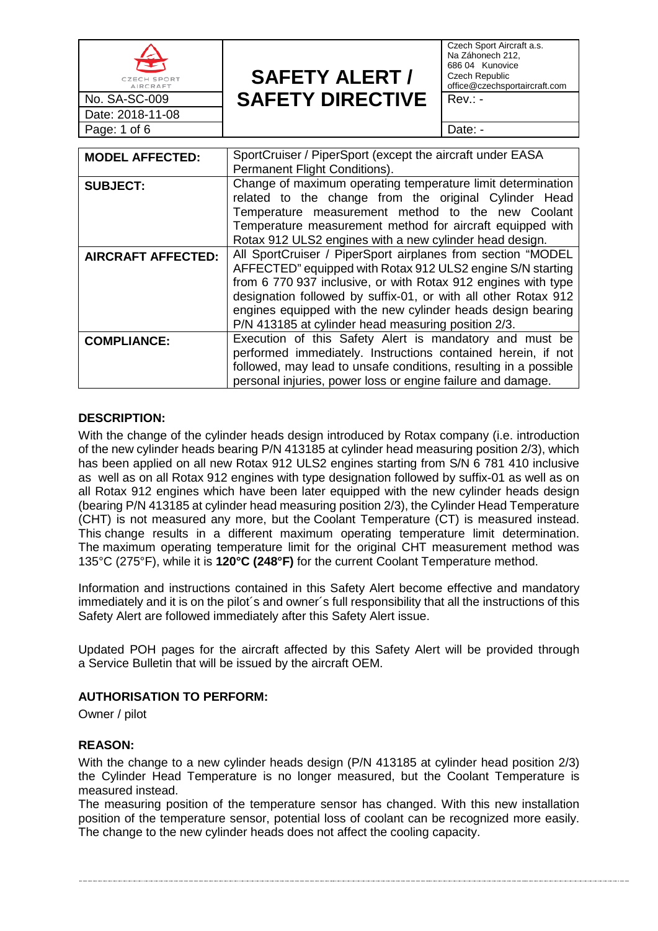| CZECH SPORT<br>AIRCRAFT   | <b>SAFETY ALERT /</b>                                                                                                                                                                                                                                                                                                                                                              | Czech Sport Aircraft a.s.<br>Na Záhonech 212,<br>686 04 Kunovice<br>Czech Republic<br>office@czechsportaircraft.com |  |  |
|---------------------------|------------------------------------------------------------------------------------------------------------------------------------------------------------------------------------------------------------------------------------------------------------------------------------------------------------------------------------------------------------------------------------|---------------------------------------------------------------------------------------------------------------------|--|--|
| No. SA-SC-009             | <b>SAFETY DIRECTIVE</b>                                                                                                                                                                                                                                                                                                                                                            | $Rev.: -$                                                                                                           |  |  |
| Date: 2018-11-08          |                                                                                                                                                                                                                                                                                                                                                                                    |                                                                                                                     |  |  |
| Page: 1 of 6              |                                                                                                                                                                                                                                                                                                                                                                                    | Date: -                                                                                                             |  |  |
|                           |                                                                                                                                                                                                                                                                                                                                                                                    |                                                                                                                     |  |  |
| <b>MODEL AFFECTED:</b>    | SportCruiser / PiperSport (except the aircraft under EASA<br>Permanent Flight Conditions).                                                                                                                                                                                                                                                                                         |                                                                                                                     |  |  |
| <b>SUBJECT:</b>           | Change of maximum operating temperature limit determination<br>related to the change from the original Cylinder Head<br>Temperature measurement method to the new Coolant<br>Temperature measurement method for aircraft equipped with<br>Rotax 912 ULS2 engines with a new cylinder head design.                                                                                  |                                                                                                                     |  |  |
| <b>AIRCRAFT AFFECTED:</b> | All SportCruiser / PiperSport airplanes from section "MODEL<br>AFFECTED" equipped with Rotax 912 ULS2 engine S/N starting<br>from 6 770 937 inclusive, or with Rotax 912 engines with type<br>designation followed by suffix-01, or with all other Rotax 912<br>engines equipped with the new cylinder heads design bearing<br>P/N 413185 at cylinder head measuring position 2/3. |                                                                                                                     |  |  |
| <b>COMPLIANCE:</b>        | Execution of this Safety Alert is mandatory and must be<br>performed immediately. Instructions contained herein, if not<br>followed, may lead to unsafe conditions, resulting in a possible<br>personal injuries, power loss or engine failure and damage.                                                                                                                         |                                                                                                                     |  |  |

### **DESCRIPTION:**

With the change of the cylinder heads design introduced by Rotax company (i.e. introduction of the new cylinder heads bearing P/N 413185 at cylinder head measuring position 2/3), which has been applied on all new Rotax 912 ULS2 engines starting from S/N 6 781 410 inclusive as well as on all Rotax 912 engines with type designation followed by suffix-01 as well as on all Rotax 912 engines which have been later equipped with the new cylinder heads design (bearing P/N 413185 at cylinder head measuring position 2/3), the Cylinder Head Temperature (CHT) is not measured any more, but the Coolant Temperature (CT) is measured instead. This change results in a different maximum operating temperature limit determination. The maximum operating temperature limit for the original CHT measurement method was 135°C (275°F), while it is **120°C (248°F)** for the current Coolant Temperature method.

Information and instructions contained in this Safety Alert become effective and mandatory immediately and it is on the pilot's and owner's full responsibility that all the instructions of this Safety Alert are followed immediately after this Safety Alert issue.

Updated POH pages for the aircraft affected by this Safety Alert will be provided through a Service Bulletin that will be issued by the aircraft OEM.

#### **AUTHORISATION TO PERFORM:**

Owner / pilot

#### **REASON:**

With the change to a new cylinder heads design (P/N 413185 at cylinder head position 2/3) the Cylinder Head Temperature is no longer measured, but the Coolant Temperature is measured instead.

The measuring position of the temperature sensor has changed. With this new installation position of the temperature sensor, potential loss of coolant can be recognized more easily. The change to the new cylinder heads does not affect the cooling capacity.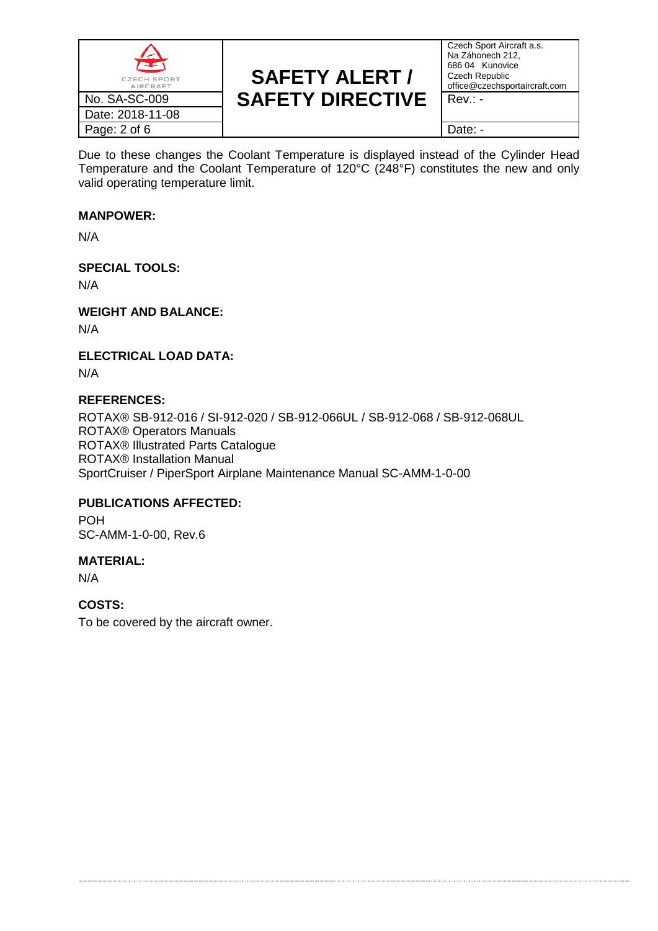

Czech Sport Aircraft a.s. Na Záhonech 212, 686 04 Kunovice Czech Republic office@czechsportaircraft.com

Due to these changes the Coolant Temperature is displayed instead of the Cylinder Head Temperature and the Coolant Temperature of 120°C (248°F) constitutes the new and only valid operating temperature limit.

### **MANPOWER:**

N/A

## **SPECIAL TOOLS:**

N/A

**WEIGHT AND BALANCE:**

N/A

**ELECTRICAL LOAD DATA:**

N/A

## **REFERENCES:**

ROTAX® SB-912-016 / SI-912-020 / SB-912-066UL / SB-912-068 / SB-912-068UL ROTAX® Operators Manuals ROTAX® Illustrated Parts Catalogue ROTAX® Installation Manual SportCruiser / PiperSport Airplane Maintenance Manual SC-AMM-1-0-00

## **PUBLICATIONS AFFECTED:**

POH SC-AMM-1-0-00, Rev.6

## **MATERIAL:**

N/A

## **COSTS:**

To be covered by the aircraft owner.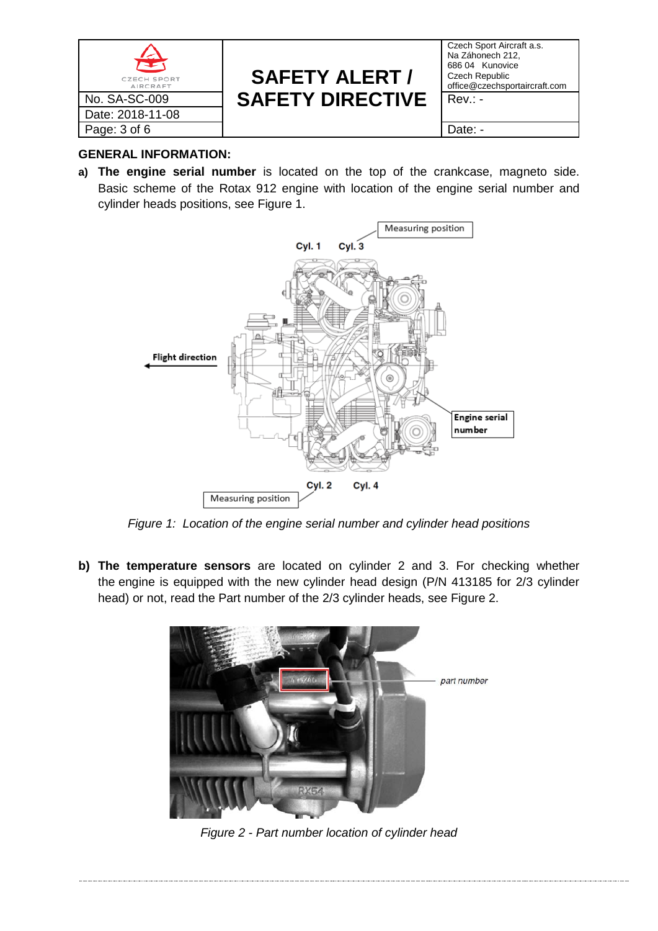

Czech Sport Aircraft a.s. Na Záhonech 212, 686 04 Kunovice Czech Republic office@czechsportaircraft.com

## **GENERAL INFORMATION:**

**a) The engine serial number** is located on the top of the crankcase, magneto side. Basic scheme of the Rotax 912 engine with location of the engine serial number and cylinder heads positions, see [Figure 1.](#page-2-0)



*Figure 1: Location of the engine serial number and cylinder head positions*

<span id="page-2-0"></span>**b) The temperature sensors** are located on cylinder 2 and 3. For checking whether the engine is equipped with the new cylinder head design (P/N 413185 for 2/3 cylinder head) or not, read the Part number of the 2/3 cylinder heads, see [Figure 2.](#page-2-1)

<span id="page-2-1"></span>

*Figure 2 - Part number location of cylinder head*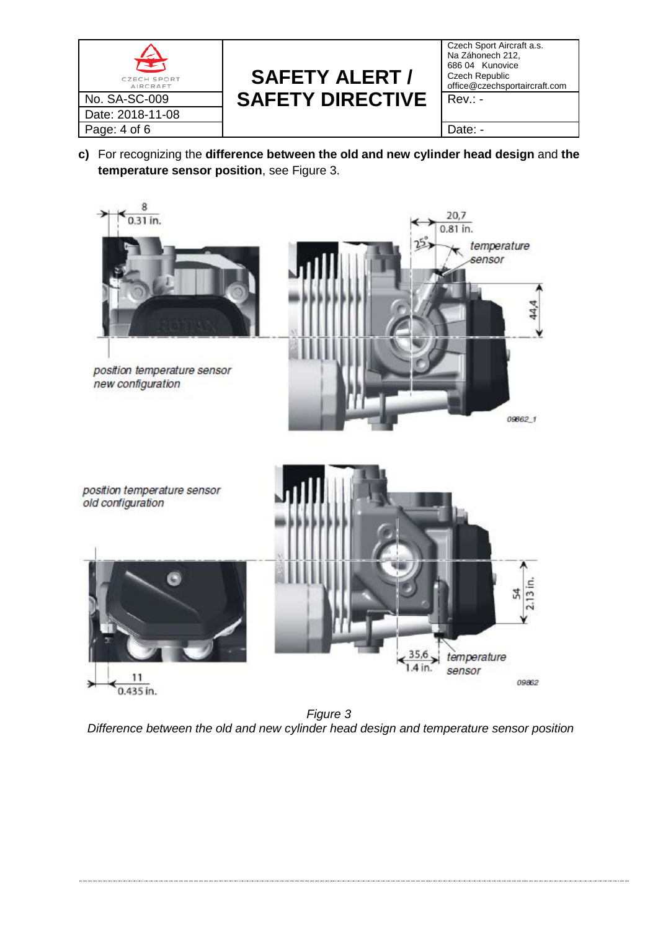

Czech Sport Aircraft a.s. Na Záhonech 212, 686 04 Kunovice Czech Republic office@czechsportaircraft.com

| c) For recognizing the difference between the old and new cylinder head design and the |
|----------------------------------------------------------------------------------------|
| temperature sensor position, see Figure 3.                                             |

<span id="page-3-0"></span>

*Figure 3 Difference between the old and new cylinder head design and temperature sensor position*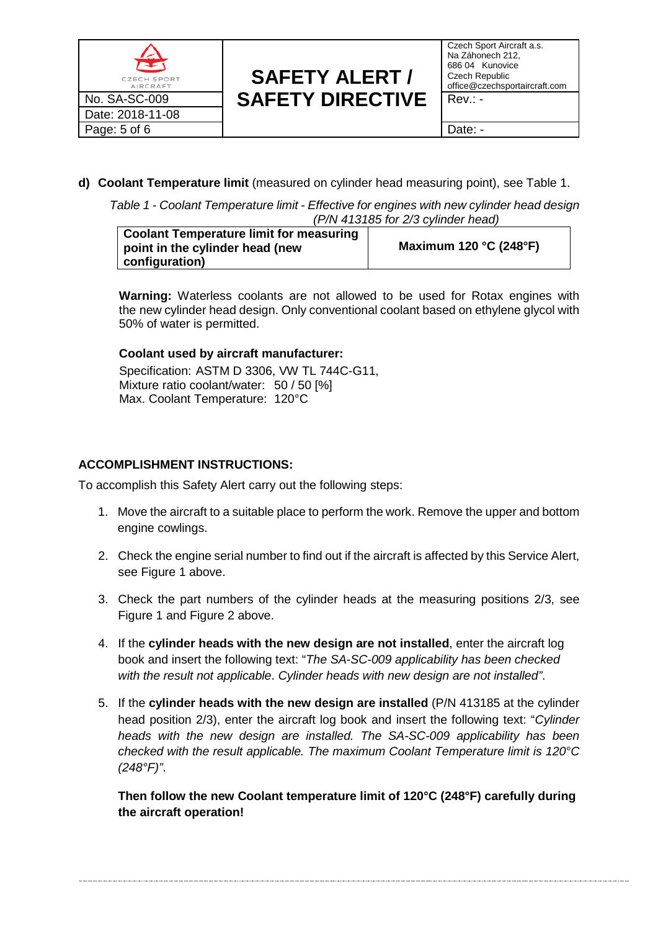

Czech Sport Aircraft a.s. Na Záhonech 212, 686 04 Kunovice Czech Republic office@czechsportaircraft.com

<span id="page-4-0"></span>**d) Coolant Temperature limit** (measured on cylinder head measuring point), see [Table 1.](#page-4-0)

*Table 1 - Coolant Temperature limit - Effective for engines with new cylinder head design (P/N 413185 for 2/3 cylinder head)*

| <b>Coolant Temperature limit for measuring</b><br>point in the cylinder head (new | Maximum 120 °C (248°F) |
|-----------------------------------------------------------------------------------|------------------------|
| configuration)                                                                    |                        |

**Warning:** Waterless coolants are not allowed to be used for Rotax engines with the new cylinder head design. Only conventional coolant based on ethylene glycol with 50% of water is permitted.

### **Coolant used by aircraft manufacturer:**

Specification: ASTM D 3306, VW TL 744C-G11, Mixture ratio coolant/water: 50 / 50 [%] Max. Coolant Temperature: 120°C

### **ACCOMPLISHMENT INSTRUCTIONS:**

To accomplish this Safety Alert carry out the following steps:

- 1. Move the aircraft to a suitable place to perform the work. Remove the upper and bottom engine cowlings.
- 2. Check the engine serial number to find out if the aircraft is affected by this Service Alert, see [Figure 1](#page-2-0) above.
- 3. Check the part numbers of the cylinder heads at the measuring positions 2/3, see [Figure 1](#page-2-0) and [Figure 2](#page-2-1) above.
- 4. If the **cylinder heads with the new design are not installed**, enter the aircraft log book and insert the following text: "*The SA-SC-009 applicability has been checked with the result not applicable*. *Cylinder heads with new design are not installed"*.
- 5. If the **cylinder heads with the new design are installed** (P/N 413185 at the cylinder head position 2/3), enter the aircraft log book and insert the following text: "*Cylinder heads with the new design are installed. The SA-SC-009 applicability has been checked with the result applicable. The maximum Coolant Temperature limit is 120°C (248°F)"*.

**Then follow the new Coolant temperature limit of 120°C (248°F) carefully during the aircraft operation!**